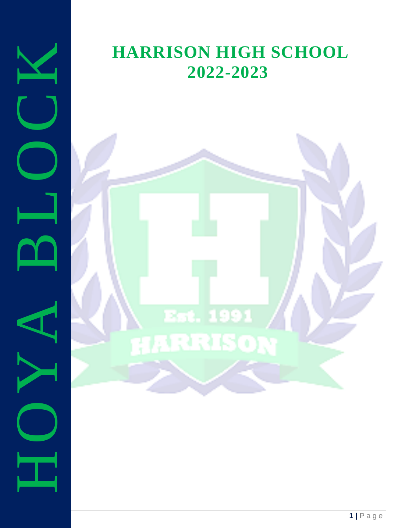

## **HARRISON HIGH SCHOOL 2022-2023**

# Est. 1991 **TARRISON**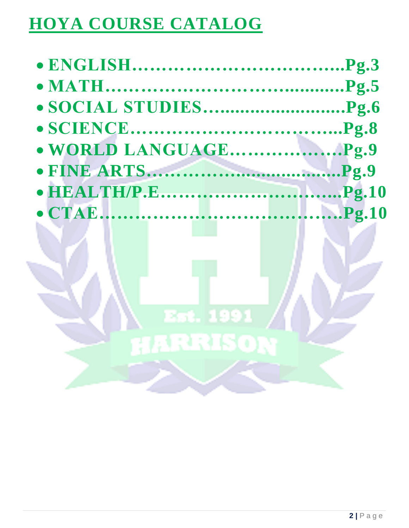# **HOYA COURSE CATALOG**

Est. 1991

**HERRISON**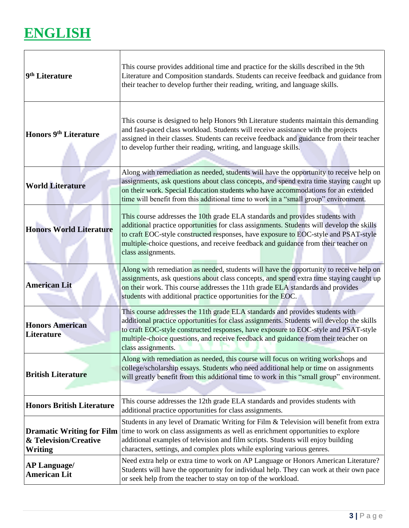### **ENGLISH**

 $\Gamma$ 

| 9 <sup>th</sup> Literature                                           | This course provides additional time and practice for the skills described in the 9th<br>Literature and Composition standards. Students can receive feedback and guidance from<br>their teacher to develop further their reading, writing, and language skills.                                                                                                               |
|----------------------------------------------------------------------|-------------------------------------------------------------------------------------------------------------------------------------------------------------------------------------------------------------------------------------------------------------------------------------------------------------------------------------------------------------------------------|
| <b>Honors 9th Literature</b>                                         | This course is designed to help Honors 9th Literature students maintain this demanding<br>and fast-paced class workload. Students will receive assistance with the projects<br>assigned in their classes. Students can receive feedback and guidance from their teacher<br>to develop further their reading, writing, and language skills.                                    |
| <b>World Literature</b>                                              | Along with remediation as needed, students will have the opportunity to receive help on<br>assignments, ask questions about class concepts, and spend extra time staying caught up<br>on their work. Special Education students who have accommodations for an extended<br>time will benefit from this additional time to work in a "small group" environment.                |
| <b>Honors World Literature</b>                                       | This course addresses the 10th grade ELA standards and provides students with<br>additional practice opportunities for class assignments. Students will develop the skills<br>to craft EOC-style constructed responses, have exposure to EOC-style and PSAT-style<br>multiple-choice questions, and receive feedback and guidance from their teacher on<br>class assignments. |
| <b>American Lit</b>                                                  | Along with remediation as needed, students will have the opportunity to receive help on<br>assignments, ask questions about class concepts, and spend extra time staying caught up<br>on their work. This course addresses the 11th grade ELA standards and provides<br>students with additional practice opportunities for the EOC.                                          |
| <b>Honors American</b><br><b>Literature</b>                          | This course addresses the 11th grade ELA standards and provides students with<br>additional practice opportunities for class assignments. Students will develop the skills<br>to craft EOC-style constructed responses, have exposure to EOC-style and PSAT-style<br>multiple-choice questions, and receive feedback and guidance from their teacher on<br>class assignments. |
| <b>British Literature</b>                                            | Along with remediation as needed, this course will focus on writing workshops and<br>college/scholarship essays. Students who need additional help or time on assignments<br>will greatly benefit from this additional time to work in this "small group" environment.                                                                                                        |
| <b>Honors British Literature</b>                                     | This course addresses the 12th grade ELA standards and provides students with<br>additional practice opportunities for class assignments.                                                                                                                                                                                                                                     |
| <b>Dramatic Writing for Film</b><br>& Television/Creative<br>Writing | Students in any level of Dramatic Writing for Film & Television will benefit from extra<br>time to work on class assignments as well as enrichment opportunities to explore<br>additional examples of television and film scripts. Students will enjoy building<br>characters, settings, and complex plots while exploring various genres.                                    |
| <b>AP Language/</b><br><b>American Lit</b>                           | Need extra help or extra time to work on AP Language or Honors American Literature?<br>Students will have the opportunity for individual help. They can work at their own pace<br>or seek help from the teacher to stay on top of the workload.                                                                                                                               |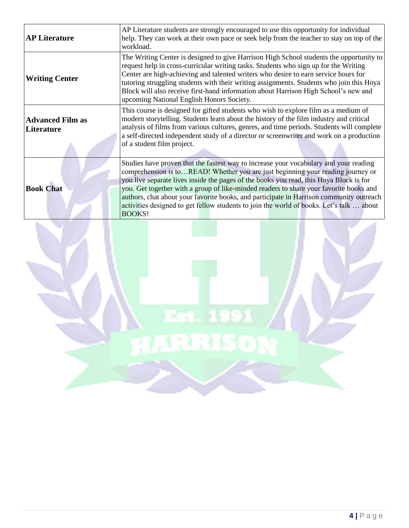| <b>AP Literature</b>                  | AP Literature students are strongly encouraged to use this opportunity for individual<br>help. They can work at their own pace or seek help from the teacher to stay on top of the<br>workload.                                                                                                                                                                                                                                                                                                                                                                      |
|---------------------------------------|----------------------------------------------------------------------------------------------------------------------------------------------------------------------------------------------------------------------------------------------------------------------------------------------------------------------------------------------------------------------------------------------------------------------------------------------------------------------------------------------------------------------------------------------------------------------|
| <b>Writing Center</b>                 | The Writing Center is designed to give Harrison High School students the opportunity to<br>request help in cross-curricular writing tasks. Students who sign up for the Writing<br>Center are high-achieving and talented writers who desire to earn service hours for<br>tutoring struggling students with their writing assignments. Students who join this Hoya<br>Block will also receive first-hand information about Harrison High School's new and<br>upcoming National English Honors Society.                                                               |
| <b>Advanced Film as</b><br>Literature | This course is designed for gifted students who wish to explore film as a medium of<br>modern storytelling. Students learn about the history of the film industry and critical<br>analysis of films from various cultures, genres, and time periods. Students will complete<br>a self-directed independent study of a director or screenwriter and work on a production<br>of a student film project.                                                                                                                                                                |
| <b>Book Chat</b>                      | Studies have proven that the fastest way to increase your vocabulary and your reading<br>comprehension is toREAD! Whether you are just beginning your reading journey or<br>you live separate lives inside the pages of the books you read, this Hoya Block is for<br>you. Get together with a group of like-minded readers to share your favorite books and<br>authors, chat about your favorite books, and participate in Harrison community outreach<br>activities designed to get fellow students to join the world of books. Let's talk  about<br><b>BOOKS!</b> |

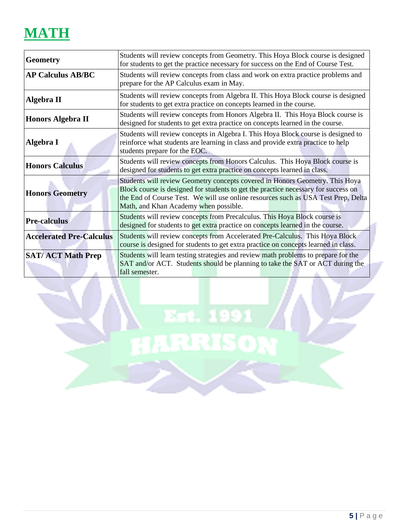### **MATH**

| <b>Geometry</b>                 | Students will review concepts from Geometry. This Hoya Block course is designed<br>for students to get the practice necessary for success on the End of Course Test.                                                                                                                             |
|---------------------------------|--------------------------------------------------------------------------------------------------------------------------------------------------------------------------------------------------------------------------------------------------------------------------------------------------|
| <b>AP Calculus AB/BC</b>        | Students will review concepts from class and work on extra practice problems and<br>prepare for the AP Calculus exam in May.                                                                                                                                                                     |
| Algebra II                      | Students will review concepts from Algebra II. This Hoya Block course is designed<br>for students to get extra practice on concepts learned in the course.                                                                                                                                       |
| <b>Honors Algebra II</b>        | Students will review concepts from Honors Algebra II. This Hoya Block course is<br>designed for students to get extra practice on concepts learned in the course.                                                                                                                                |
| Algebra I                       | Students will review concepts in Algebra I. This Hoya Block course is designed to<br>reinforce what students are learning in class and provide extra practice to help<br>students prepare for the EOC.                                                                                           |
| <b>Honors Calculus</b>          | Students will review concepts from Honors Calculus. This Hoya Block course is<br>designed for students to get extra practice on concepts learned in class.                                                                                                                                       |
| <b>Honors Geometry</b>          | Students will review Geometry concepts covered in Honors Geometry. This Hoya<br>Block course is designed for students to get the practice necessary for success on<br>the End of Course Test. We will use online resources such as USA Test Prep, Delta<br>Math, and Khan Academy when possible. |
| <b>Pre-calculus</b>             | Students will review concepts from Precalculus. This Hoya Block course is<br>designed for students to get extra practice on concepts learned in the course.                                                                                                                                      |
| <b>Accelerated Pre-Calculus</b> | Students will review concepts from Accelerated Pre-Calculus. This Hoya Block<br>course is designed for students to get extra practice on concepts learned in class.                                                                                                                              |
| <b>SAT/ACT Math Prep</b>        | Students will learn testing strategies and review math problems to prepare for the<br>SAT and/or ACT. Students should be planning to take the SAT or ACT during the<br>fall semester.<br>a Bar                                                                                                   |

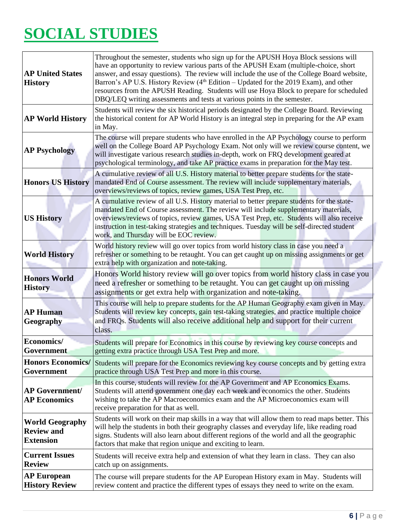# **SOCIAL STUDIES**

| <b>AP United States</b><br><b>History</b>                       | Throughout the semester, students who sign up for the APUSH Hoya Block sessions will<br>have an opportunity to review various parts of the APUSH Exam (multiple-choice, short<br>answer, and essay questions). The review will include the use of the College Board website,<br>Barron's AP U.S. History Review (4 <sup>th</sup> Edition – Updated for the 2019 Exam), and other<br>resources from the APUSH Reading. Students will use Hoya Block to prepare for scheduled<br>DBQ/LEQ writing assessments and tests at various points in the semester. |
|-----------------------------------------------------------------|---------------------------------------------------------------------------------------------------------------------------------------------------------------------------------------------------------------------------------------------------------------------------------------------------------------------------------------------------------------------------------------------------------------------------------------------------------------------------------------------------------------------------------------------------------|
| <b>AP World History</b>                                         | Students will review the six historical periods designated by the College Board. Reviewing<br>the historical content for AP World History is an integral step in preparing for the AP exam<br>in May.                                                                                                                                                                                                                                                                                                                                                   |
| <b>AP Psychology</b>                                            | The course will prepare students who have enrolled in the AP Psychology course to perform<br>well on the College Board AP Psychology Exam. Not only will we review course content, we<br>will investigate various research studies in-depth, work on FRQ development geared at<br>psychological terminology, and take AP practice exams in preparation for the May test.                                                                                                                                                                                |
| <b>Honors US History</b>                                        | A cumulative review of all U.S. History material to better prepare students for the state-<br>mandated End of Course assessment. The review will include supplementary materials,<br>overviews/reviews of topics, review games, USA Test Prep, etc.                                                                                                                                                                                                                                                                                                     |
| <b>US History</b>                                               | A cumulative review of all U.S. History material to better prepare students for the state-<br>mandated End of Course assessment. The review will include supplementary materials,<br>overviews/reviews of topics, review games, USA Test Prep, etc. Students will also receive<br>instruction in test-taking strategies and techniques. Tuesday will be self-directed student<br>work, and Thursday will be EOC review.                                                                                                                                 |
| <b>World History</b>                                            | World history review will go over topics from world history class in case you need a<br>refresher or something to be retaught. You can get caught up on missing assignments or get<br>extra help with organization and note-taking.                                                                                                                                                                                                                                                                                                                     |
| <b>Honors World</b><br><b>History</b>                           | Honors World history review will go over topics from world history class in case you<br>need a refresher or something to be retaught. You can get caught up on missing<br>assignments or get extra help with organization and note-taking.                                                                                                                                                                                                                                                                                                              |
| <b>AP Human</b><br>Geography                                    | This course will help to prepare students for the AP Human Geography exam given in May.<br>Students will review key concepts, gain test-taking strategies, and practice multiple choice<br>and FRQs. Students will also receive additional help and support for their current<br>class.                                                                                                                                                                                                                                                                 |
| Economics/<br>Government                                        | Students will prepare for Economics in this course by reviewing key course concepts and<br>getting extra practice through USA Test Prep and more.                                                                                                                                                                                                                                                                                                                                                                                                       |
| <b>Honors Economics/</b><br>Government                          | Students will prepare for the Economics reviewing key course concepts and by getting extra<br>practice through USA Test Prep and more in this course.                                                                                                                                                                                                                                                                                                                                                                                                   |
| <b>AP Government/</b><br><b>AP Economics</b>                    | In this course, students will review for the AP Government and AP Economics Exams.<br>Students will attend government one day each week and economics the other. Students<br>wishing to take the AP Macroeconomics exam and the AP Microeconomics exam will<br>receive preparation for that as well.                                                                                                                                                                                                                                                    |
| <b>World Geography</b><br><b>Review and</b><br><b>Extension</b> | Students will work on their map skills in a way that will allow them to read maps better. This<br>will help the students in both their geography classes and everyday life, like reading road<br>signs. Students will also learn about different regions of the world and all the geographic<br>factors that make that region unique and exciting to learn.                                                                                                                                                                                             |
| <b>Current Issues</b><br><b>Review</b>                          | Students will receive extra help and extension of what they learn in class. They can also<br>catch up on assignments.                                                                                                                                                                                                                                                                                                                                                                                                                                   |
| <b>AP European</b><br><b>History Review</b>                     | The course will prepare students for the AP European History exam in May. Students will<br>review content and practice the different types of essays they need to write on the exam.                                                                                                                                                                                                                                                                                                                                                                    |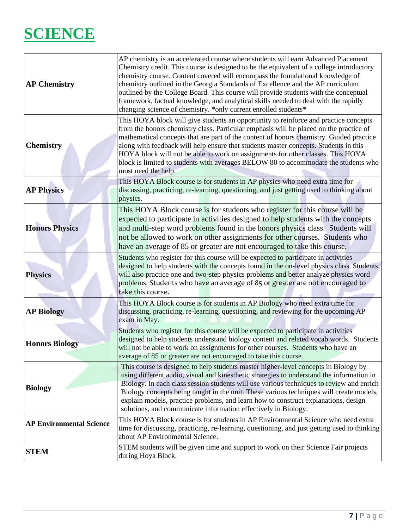### **SCIENCE**

| <b>AP Chemistry</b>             | AP chemistry is an accelerated course where students will earn Advanced Placement<br>Chemistry credit. This course is designed to be the equivalent of a college introductory<br>chemistry course. Content covered will encompass the foundational knowledge of<br>chemistry outlined in the Georgia Standards of Excellence and the AP curriculum<br>outlined by the College Board. This course will provide students with the conceptual<br>framework, factual knowledge, and analytical skills needed to deal with the rapidly<br>changing science of chemistry. *only current enrolled students* |
|---------------------------------|------------------------------------------------------------------------------------------------------------------------------------------------------------------------------------------------------------------------------------------------------------------------------------------------------------------------------------------------------------------------------------------------------------------------------------------------------------------------------------------------------------------------------------------------------------------------------------------------------|
| <b>Chemistry</b>                | This HOYA block will give students an opportunity to reinforce and practice concepts<br>from the honors chemistry class. Particular emphasis will be placed on the practice of<br>mathematical concepts that are part of the content of honors chemistry. Guided practice<br>along with feedback will help ensure that students master concepts. Students in this<br>HOYA block will not be able to work on assignments for other classes. This HOYA<br>block is limited to students with averages BELOW 80 to accommodate the students who<br>most need the help.                                   |
| <b>AP Physics</b>               | This HOYA Block course is for students in AP physics who need extra time for<br>discussing, practicing, re-learning, questioning, and just getting used to thinking about<br>physics.                                                                                                                                                                                                                                                                                                                                                                                                                |
| <b>Honors Physics</b>           | This HOYA Block course is for students who register for this course will be<br>expected to participate in activities designed to help students with the concepts<br>and multi-step word problems found in the honors physics class. Students will<br>not be allowed to work on other assignments for other courses. Students who<br>have an average of 85 or greater are not encouraged to take this course.                                                                                                                                                                                         |
| <b>Physics</b>                  | Students who register for this course will be expected to participate in activities<br>designed to help students with the concepts found in the on-level physics class. Students<br>will also practice one and two-step physics problems and better analyze physics word<br>problems. Students who have an average of 85 or greater are not encouraged to<br>take this course.                                                                                                                                                                                                                       |
| <b>AP Biology</b>               | This HOYA Block course is for students in AP Biology who need extra time for<br>discussing, practicing, re-learning, questioning, and reviewing for the upcoming AP<br>exam in May.                                                                                                                                                                                                                                                                                                                                                                                                                  |
| <b>Honors Biology</b>           | Students who register for this course will be expected to participate in activities<br>designed to help students understand biology content and related vocab words. Students<br>will not be able to work on assignments for other courses. Students who have an<br>average of 85 or greater are not encouraged to take this course.                                                                                                                                                                                                                                                                 |
| <b>Biology</b>                  | This course is designed to help students master higher-level concepts in Biology by<br>using different audio, visual and kinesthetic strategies to understand the information in<br>Biology. In each class session students will use various techniques to review and enrich<br>Biology concepts being taught in the unit. These various techniques will create models,<br>explain models, practice problems, and learn how to construct explanations, design<br>solutions, and communicate information effectively in Biology.                                                                      |
| <b>AP Environmental Science</b> | This HOYA Block course is for students in AP Environmental Science who need extra<br>time for discussing, practicing, re-learning, questioning, and just getting used to thinking<br>about AP Environmental Science.                                                                                                                                                                                                                                                                                                                                                                                 |
| <b>STEM</b>                     | STEM students will be given time and support to work on their Science Fair projects<br>during Hoya Block.                                                                                                                                                                                                                                                                                                                                                                                                                                                                                            |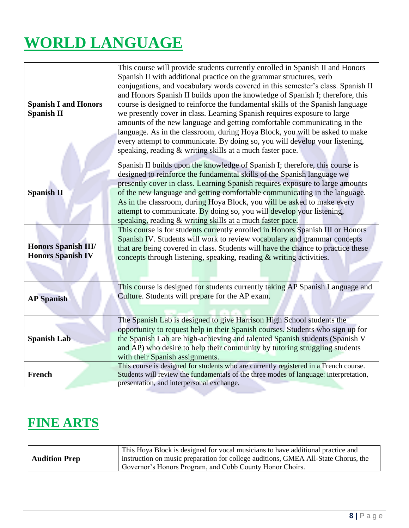# **WORLD LANGUAGE**

| <b>Spanish I and Honors</b><br><b>Spanish II</b>       | This course will provide students currently enrolled in Spanish II and Honors<br>Spanish II with additional practice on the grammar structures, verb<br>conjugations, and vocabulary words covered in this semester's class. Spanish II<br>and Honors Spanish II builds upon the knowledge of Spanish I; therefore, this<br>course is designed to reinforce the fundamental skills of the Spanish language<br>we presently cover in class. Learning Spanish requires exposure to large<br>amounts of the new language and getting comfortable communicating in the<br>language. As in the classroom, during Hoya Block, you will be asked to make |
|--------------------------------------------------------|---------------------------------------------------------------------------------------------------------------------------------------------------------------------------------------------------------------------------------------------------------------------------------------------------------------------------------------------------------------------------------------------------------------------------------------------------------------------------------------------------------------------------------------------------------------------------------------------------------------------------------------------------|
|                                                        | every attempt to communicate. By doing so, you will develop your listening,<br>speaking, reading & writing skills at a much faster pace.                                                                                                                                                                                                                                                                                                                                                                                                                                                                                                          |
| <b>Spanish II</b>                                      | Spanish II builds upon the knowledge of Spanish I; therefore, this course is<br>designed to reinforce the fundamental skills of the Spanish language we<br>presently cover in class. Learning Spanish requires exposure to large amounts<br>of the new language and getting comfortable communicating in the language.<br>As in the classroom, during Hoya Block, you will be asked to make every<br>attempt to communicate. By doing so, you will develop your listening,<br>speaking, reading & writing skills at a much faster pace.                                                                                                           |
| <b>Honors Spanish III/</b><br><b>Honors Spanish IV</b> | This course is for students currently enrolled in Honors Spanish III or Honors<br>Spanish IV. Students will work to review vocabulary and grammar concepts<br>that are being covered in class. Students will have the chance to practice these<br>concepts through listening, speaking, reading & writing activities.                                                                                                                                                                                                                                                                                                                             |
| <b>AP</b> Spanish                                      | This course is designed for students currently taking AP Spanish Language and<br>Culture. Students will prepare for the AP exam.                                                                                                                                                                                                                                                                                                                                                                                                                                                                                                                  |
| <b>Spanish Lab</b>                                     | The Spanish Lab is designed to give Harrison High School students the<br>opportunity to request help in their Spanish courses. Students who sign up for<br>the Spanish Lab are high-achieving and talented Spanish students (Spanish V<br>and AP) who desire to help their community by tutoring struggling students<br>with their Spanish assignments.                                                                                                                                                                                                                                                                                           |
| <b>French</b>                                          | This course is designed for students who are currently registered in a French course.<br>Students will review the fundamentals of the three modes of language: interpretation,<br>presentation, and interpersonal exchange.                                                                                                                                                                                                                                                                                                                                                                                                                       |

### **FINE ARTS**

|                      | This Hoya Block is designed for vocal musicians to have additional practice and    |
|----------------------|------------------------------------------------------------------------------------|
| <b>Audition Prep</b> | instruction on music preparation for college auditions, GMEA All-State Chorus, the |
|                      | Governor's Honors Program, and Cobb County Honor Choirs.                           |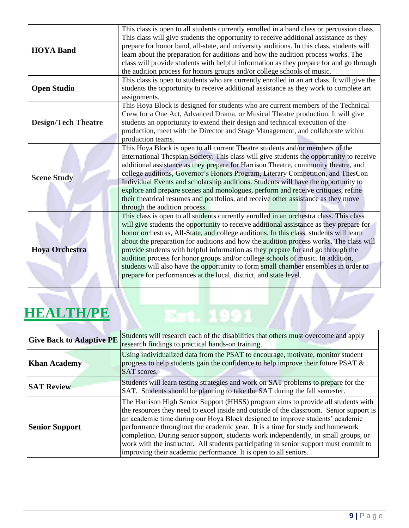| <b>HOYA Band</b>           | This class is open to all students currently enrolled in a band class or percussion class.<br>This class will give students the opportunity to receive additional assistance as they<br>prepare for honor band, all-state, and university auditions. In this class, students will<br>learn about the preparation for auditions and how the audition process works. The<br>class will provide students with helpful information as they prepare for and go through<br>the audition process for honors groups and/or college schools of music.                                                                                                                                                              |
|----------------------------|-----------------------------------------------------------------------------------------------------------------------------------------------------------------------------------------------------------------------------------------------------------------------------------------------------------------------------------------------------------------------------------------------------------------------------------------------------------------------------------------------------------------------------------------------------------------------------------------------------------------------------------------------------------------------------------------------------------|
| <b>Open Studio</b>         | This class is open to students who are currently enrolled in an art class. It will give the<br>students the opportunity to receive additional assistance as they work to complete art<br>assignments.                                                                                                                                                                                                                                                                                                                                                                                                                                                                                                     |
| <b>Design/Tech Theatre</b> | This Hoya Block is designed for students who are current members of the Technical<br>Crew for a One Act, Advanced Drama, or Musical Theatre production. It will give<br>students an opportunity to extend their design and technical execution of the<br>production, meet with the Director and Stage Management, and collaborate within<br>production teams.                                                                                                                                                                                                                                                                                                                                             |
| <b>Scene Study</b>         | This Hoya Block is open to all current Theatre students and/or members of the<br>International Thespian Society. This class will give students the opportunity to receive<br>additional assistance as they prepare for Harrison Theatre, community theatre, and<br>college auditions, Governor's Honors Program, Literary Competition, and ThesCon<br>Individual Events and scholarship auditions. Students will have the opportunity to<br>explore and prepare scenes and monologues, perform and receive critiques, refine<br>their theatrical resumes and portfolios, and receive other assistance as they move<br>through the audition process.                                                       |
| <b>Hoya Orchestra</b>      | This class is open to all students currently enrolled in an orchestra class. This class<br>will give students the opportunity to receive additional assistance as they prepare for<br>honor orchestras, All-State, and college auditions. In this class, students will learn<br>about the preparation for auditions and how the audition process works. The class will<br>provide students with helpful information as they prepare for and go through the<br>audition process for honor groups and/or college schools of music. In addition,<br>students will also have the opportunity to form small chamber ensembles in order to<br>prepare for performances at the local, district, and state level. |
| HEALTH/PE                  |                                                                                                                                                                                                                                                                                                                                                                                                                                                                                                                                                                                                                                                                                                           |

### **HEALTH/PE**

| <b>Give Back to Adaptive PE</b> | Students will research each of the disabilities that others must overcome and apply<br>research findings to practical hands-on training.                                                                                                                                                                                                                                                                                                                                                                                                                                                           |
|---------------------------------|----------------------------------------------------------------------------------------------------------------------------------------------------------------------------------------------------------------------------------------------------------------------------------------------------------------------------------------------------------------------------------------------------------------------------------------------------------------------------------------------------------------------------------------------------------------------------------------------------|
| <b>Khan Academy</b>             | Using individualized data from the PSAT to encourage, motivate, monitor student<br>progress to help students gain the confidence to help improve their future PSAT $\&$<br>SAT scores.                                                                                                                                                                                                                                                                                                                                                                                                             |
| <b>SAT Review</b>               | Students will learn testing strategies and work on SAT problems to prepare for the<br>SAT. Students should be planning to take the SAT during the fall semester.                                                                                                                                                                                                                                                                                                                                                                                                                                   |
| <b>Senior Support</b>           | The Harrison High Senior Support (HHSS) program aims to provide all students with<br>the resources they need to excel inside and outside of the classroom. Senior support is<br>an academic time during our Hoya Block designed to improve students' academic<br>performance throughout the academic year. It is a time for study and homework<br>completion. During senior support, students work independently, in small groups, or<br>work with the instructor. All students participating in senior support must commit to<br>improving their academic performance. It is open to all seniors. |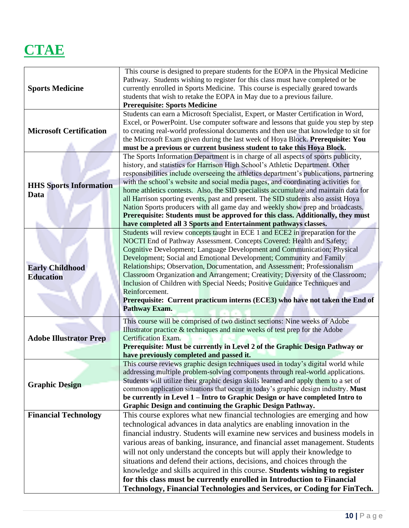### **CTAE**

|                                | This course is designed to prepare students for the EOPA in the Physical Medicine<br>Pathway. Students wishing to register for this class must have completed or be |
|--------------------------------|---------------------------------------------------------------------------------------------------------------------------------------------------------------------|
| <b>Sports Medicine</b>         | currently enrolled in Sports Medicine. This course is especially geared towards                                                                                     |
|                                | students that wish to retake the EOPA in May due to a previous failure.                                                                                             |
|                                | <b>Prerequisite: Sports Medicine</b><br>Students can earn a Microsoft Specialist, Expert, or Master Certification in Word,                                          |
|                                | Excel, or PowerPoint. Use computer software and lessons that guide you step by step                                                                                 |
| <b>Microsoft Certification</b> | to creating real-world professional documents and then use that knowledge to sit for                                                                                |
|                                | the Microsoft Exam given during the last week of Hoya Block. Prerequisite: You                                                                                      |
|                                | must be a previous or current business student to take this Hoya Block.                                                                                             |
|                                | The Sports Information Department is in charge of all aspects of sports publicity,                                                                                  |
|                                | history, and statistics for Harrison High School's Athletic Department. Other                                                                                       |
|                                | responsibilities include overseeing the athletics department's publications, partnering                                                                             |
| <b>HHS Sports Information</b>  | with the school's website and social media pages, and coordinating activities for                                                                                   |
| Data                           | home athletics contests. Also, the SID specialists accumulate and maintain data for                                                                                 |
|                                | all Harrison sporting events, past and present. The SID students also assist Hoya<br>Nation Sports producers with all game day and weekly show prep and broadcasts. |
|                                | Prerequisite: Students must be approved for this class. Additionally, they must                                                                                     |
|                                | have completed all 3 Sports and Entertainment pathways classes.                                                                                                     |
|                                | Students will review concepts taught in ECE 1 and ECE2 in preparation for the                                                                                       |
|                                | NOCTI End of Pathway Assessment. Concepts Covered: Health and Safety;                                                                                               |
|                                | Cognitive Development; Language Development and Communication; Physical                                                                                             |
|                                | Development; Social and Emotional Development; Community and Family                                                                                                 |
| <b>Early Childhood</b>         | Relationships; Observation, Documentation, and Assessment; Professionalism                                                                                          |
| <b>Education</b>               | Classroom Organization and Arrangement; Creativity; Diversity of the Classroom;<br>Inclusion of Children with Special Needs; Positive Guidance Techniques and       |
|                                | Reinforcement.                                                                                                                                                      |
|                                | Prerequisite: Current practicum interns (ECE3) who have not taken the End of                                                                                        |
|                                | <b>Pathway Exam.</b>                                                                                                                                                |
|                                | This course will be comprised of two distinct sections: Nine weeks of Adobe                                                                                         |
|                                | Illustrator practice & techniques and nine weeks of test prep for the Adobe                                                                                         |
| <b>Adobe Illustrator Prep</b>  | Certification Exam.                                                                                                                                                 |
|                                | Prerequisite: Must be currently in Level 2 of the Graphic Design Pathway or<br>have previously completed and passed it.                                             |
|                                | This course reviews graphic design techniques used in today's digital world while                                                                                   |
|                                | addressing multiple problem-solving components through real-world applications.                                                                                     |
|                                | Students will utilize their graphic design skills learned and apply them to a set of                                                                                |
| <b>Graphic Design</b>          | common application situations that occur in today's graphic design industry. Must                                                                                   |
|                                | be currently in Level 1 – Intro to Graphic Design or have completed Intro to                                                                                        |
|                                | Graphic Design and continuing the Graphic Design Pathway.                                                                                                           |
| <b>Financial Technology</b>    | This course explores what new financial technologies are emerging and how                                                                                           |
|                                | technological advances in data analytics are enabling innovation in the                                                                                             |
|                                | financial industry. Students will examine new services and business models in                                                                                       |
|                                | various areas of banking, insurance, and financial asset management. Students                                                                                       |
|                                | will not only understand the concepts but will apply their knowledge to                                                                                             |
|                                | situations and defend their actions, decisions, and choices through the                                                                                             |
|                                | knowledge and skills acquired in this course. Students wishing to register                                                                                          |
|                                | for this class must be currently enrolled in Introduction to Financial                                                                                              |
|                                | Technology, Financial Technologies and Services, or Coding for FinTech.                                                                                             |